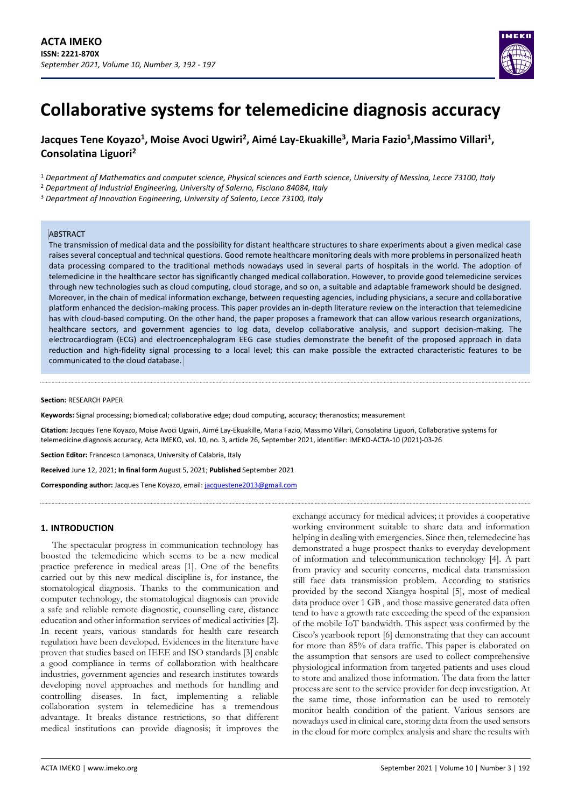

# **Jacques Tene Koyazo<sup>1</sup> , Moise Avoci Ugwiri<sup>2</sup> , Aimé Lay-Ekuakille<sup>3</sup> , Maria Fazio<sup>1</sup> ,Massimo Villari<sup>1</sup> , Consolatina Liguori<sup>2</sup>**

<sup>1</sup> *Department of Mathematics and computer science, Physical sciences and Earth science, University of Messina, Lecce 73100, Italy*

<sup>2</sup> *Department of Industrial Engineering, University of Salerno, Fisciano 84084, Italy*

<sup>3</sup> *Department of Innovation Engineering, University of Salento, Lecce 73100, Italy*

#### **ABSTRACT**

The transmission of medical data and the possibility for distant healthcare structures to share experiments about a given medical case raises several conceptual and technical questions. Good remote healthcare monitoring deals with more problems in personalized heath data processing compared to the traditional methods nowadays used in several parts of hospitals in the world. The adoption of telemedicine in the healthcare sector has significantly changed medical collaboration. However, to provide good telemedicine services through new technologies such as cloud computing, cloud storage, and so on, a suitable and adaptable framework should be designed. Moreover, in the chain of medical information exchange, between requesting agencies, including physicians, a secure and collaborative platform enhanced the decision-making process. This paper provides an in-depth literature review on the interaction that telemedicine has with cloud-based computing. On the other hand, the paper proposes a framework that can allow various research organizations, healthcare sectors, and government agencies to log data, develop collaborative analysis, and support decision-making. The electrocardiogram (ECG) and electroencephalogram EEG case studies demonstrate the benefit of the proposed approach in data reduction and high-fidelity signal processing to a local level; this can make possible the extracted characteristic features to be communicated to the cloud database.

#### **Section:** RESEARCH PAPER

**Keywords:** Signal processing; biomedical; collaborative edge; cloud computing, accuracy; theranostics; measurement

**Citation:** Jacques Tene Koyazo, Moise Avoci Ugwiri, Aimé Lay-Ekuakille, Maria Fazio, Massimo Villari, Consolatina Liguori, Collaborative systems for telemedicine diagnosis accuracy, Acta IMEKO, vol. 10, no. 3, article 26, September 2021, identifier: IMEKO-ACTA-10 (2021)-03-26

**Section Editor:** Francesco Lamonaca, University of Calabria, Italy

**Received** June 12, 2021; **In final form** August 5, 2021; **Published** September 2021

**Corresponding author:** Jacques Tene Koyazo, email: [jacquestene2013@gmail.com](mailto:jacquestene2013@gmail.com)

#### **1. INTRODUCTION**

The spectacular progress in communication technology has boosted the telemedicine which seems to be a new medical practice preference in medical areas [\[1\].](#page-5-0) One of the benefits carried out by this new medical discipline is, for instance, the stomatological diagnosis. Thanks to the communication and computer technology, the stomatological diagnosis can provide a safe and reliable remote diagnostic, counselling care, distance education and other information services of medical activities [\[2\].](#page-5-1) In recent years, various standards for health care research regulation have been developed. Evidences in the literature have proven that studies based on IEEE and ISO standards [\[3\]](#page-5-2) enable a good compliance in terms of collaboration with healthcare industries, government agencies and research institutes towards developing novel approaches and methods for handling and controlling diseases. In fact, implementing a reliable collaboration system in telemedicine has a tremendous advantage. It breaks distance restrictions, so that different medical institutions can provide diagnosis; it improves the

exchange accuracy for medical advices; it provides a cooperative working environment suitable to share data and information helping in dealing with emergencies. Since then, telemedecine has demonstrated a huge prospect thanks to everyday development of information and telecommunication technology [\[4\].](#page-5-3) A part from pravicy and security concerns, medical data transmission still face data transmission problem. According to statistics provided by the second Xiangya hospital [\[5\],](#page-5-4) most of medical data produce over 1 GB , and those massive generated data often tend to have a growth rate exceeding the speed of the expansion of the mobile IoT bandwidth. This aspect was confirmed by the Cisco's yearbook report [\[6\]](#page-5-5) demonstrating that they can account for more than 85% of data traffic. This paper is elaborated on the assumption that sensors are used to collect comprehensive physiological information from targeted patients and uses cloud to store and analized those information. The data from the latter process are sent to the service provider for deep investigation. At the same time, those information can be used to remotely monitor health condition of the patient. Various sensors are nowadays used in clinical care, storing data from the used sensors in the cloud for more complex analysis and share the results with

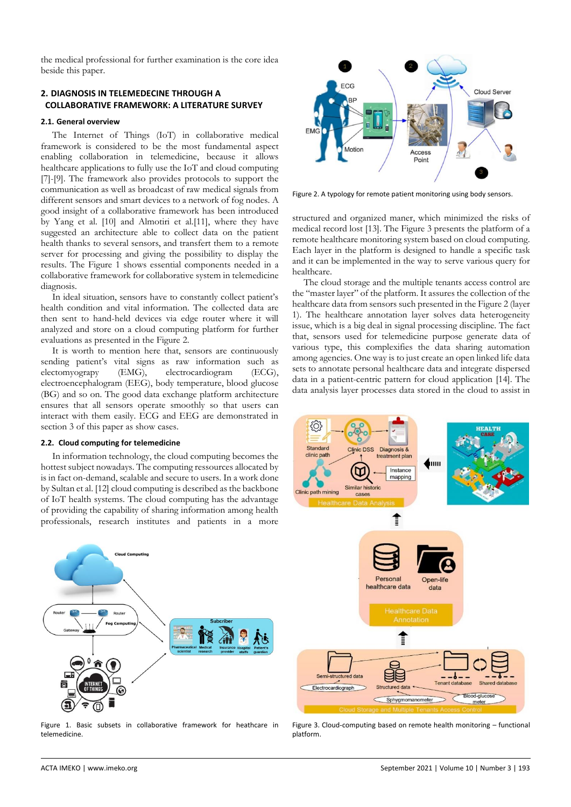the medical professional for further examination is the core idea beside this paper.

## **2. DIAGNOSIS IN TELEMEDECINE THROUGH A COLLABORATIVE FRAMEWORK: A LITERATURE SURVEY**

#### **2.1. General overview**

The Internet of Things (IoT) in collaborative medical framework is considered to be the most fundamental aspect enabling collaboration in telemedicine, because it allows healthcare applications to fully use the IoT and cloud computing [\[7\]-](#page-5-6)[\[9\].](#page-5-7) The framework also provides protocols to support the communication as well as broadcast of raw medical signals from different sensors and smart devices to a network of fog nodes. A good insight of a collaborative framework has been introduced by Yang et al. [\[10\]](#page-5-8) and Almotiri et al[.\[11\],](#page-5-9) where they have suggested an architecture able to collect data on the patient health thanks to several sensors, and transfert them to a remote server for processing and giving the possibility to display the results. The [Figure 1](#page-1-0) shows essential components needed in a collaborative framework for collaborative system in telemedicine diagnosis.

In ideal situation, sensors have to constantly collect patient's health condition and vital information. The collected data are then sent to hand-held devices via edge router where it will analyzed and store on a cloud computing platform for further evaluations as presented in the [Figure 2.](#page-1-1)

It is worth to mention here that, sensors are continuously sending patient's vital signs as raw information such as electomyograpy (EMG), electrocardiogram (ECG), electrocardiogram (ECG), electroencephalogram (EEG), body temperature, blood glucose (BG) and so on. The good data exchange platform architecture ensures that all sensors operate smoothly so that users can interact with them easily. ECG and EEG are demonstrated in section 3 of this paper as show cases.

#### **2.2. Cloud computing for telemedicine**

In information technology, the cloud computing becomes the hottest subject nowadays. The computing ressources allocated by is in fact on-demand, scalable and secure to users. In a work done by Sultan et al[. \[12\]](#page-5-10) cloud computing is described as the backbone of IoT health systems. The cloud computing has the advantage of providing the capability of sharing information among health professionals, research institutes and patients in a more



<span id="page-1-0"></span>Figure 1. Basic subsets in collaborative framework for heathcare in telemedicine.



<span id="page-1-1"></span>Figure 2. A typology for remote patient monitoring using body sensors.

structured and organized maner, which minimized the risks of medical record lost [\[13\].](#page-5-11) The [Figure 3](#page-1-2) presents the platform of a remote healthcare monitoring system based on cloud computing. Each layer in the platform is designed to handle a specific task and it can be implemented in the way to serve various query for healthcare.

The cloud storage and the multiple tenants access control are the "master layer" of the platform. It assures the collection of the healthcare data from sensors such presented in th[e Figure 2](#page-1-1) (layer 1). The healthcare annotation layer solves data heterogeneity issue, which is a big deal in signal processing discipline. The fact that, sensors used for telemedicine purpose generate data of various type, this complexifies the data sharing automation among agencies. One way is to just create an open linked life data sets to annotate personal healthcare data and integrate dispersed data in a patient-centric pattern for cloud application [\[14\].](#page-5-12) The data analysis layer processes data stored in the cloud to assist in



<span id="page-1-2"></span>Figure 3. Cloud-computing based on remote health monitoring – functional platform.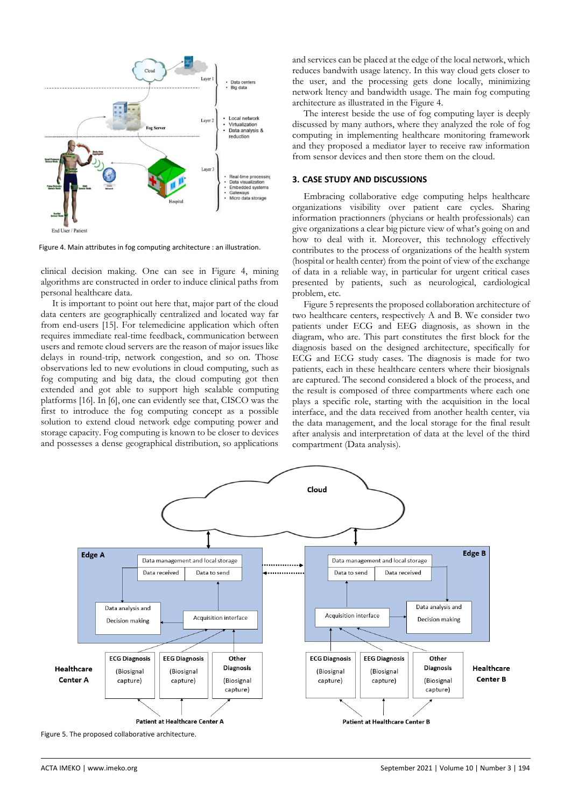

<span id="page-2-0"></span>Figure 4. Main attributes in fog computing architecture : an illustration.

clinical decision making. One can see in [Figure 4,](#page-2-0) mining algorithms are constructed in order to induce clinical paths from personal healthcare data.

It is important to point out here that, major part of the cloud data centers are geographically centralized and located way far from end-users [\[15\].](#page-5-13) For telemedicine application which often requires immediate real-time feedback, communication between users and remote cloud servers are the reason of major issues like delays in round-trip, network congestion, and so on. Those observations led to new evolutions in cloud computing, such as fog computing and big data, the cloud computing got then extended and got able to support high scalable computing platforms [\[16\].](#page-5-14) I[n \[6\],](#page-5-5) one can evidently see that, CISCO was the first to introduce the fog computing concept as a possible solution to extend cloud network edge computing power and storage capacity. Fog computing is known to be closer to devices and possesses a dense geographical distribution, so applications and services can be placed at the edge of the local network, which reduces bandwith usage latency. In this way cloud gets closer to the user, and the processing gets done locally, minimizing network ltency and bandwidth usage. The main fog computing architecture as illustrated in the [Figure 4.](#page-2-0)

The interest beside the use of fog computing layer is deeply discussed by many authors, where they analyzed the role of fog computing in implementing healthcare monitoring framework and they proposed a mediator layer to receive raw information from sensor devices and then store them on the cloud.

#### **3. CASE STUDY AND DISCUSSIONS**

Embracing collaborative edge computing helps healthcare organizations visibility over patient care cycles. Sharing information practionners (phycians or health professionals) can give organizations a clear big picture view of what's going on and how to deal with it. Moreover, this technology effectively contributes to the process of organizations of the health system (hospital or health center) from the point of view of the exchange of data in a reliable way, in particular for urgent critical cases presented by patients, such as neurological, cardiological problem, etc.

[Figure 5](#page-2-1) represents the proposed collaboration architecture of two healthcare centers, respectively A and B. We consider two patients under ECG and EEG diagnosis, as shown in the diagram, who are. This part constitutes the first block for the diagnosis based on the designed architecture, specifically for ECG and ECG study cases. The diagnosis is made for two patients, each in these healthcare centers where their biosignals are captured. The second considered a block of the process, and the result is composed of three compartments where each one plays a specific role, starting with the acquisition in the local interface, and the data received from another health center, via the data management, and the local storage for the final result after analysis and interpretation of data at the level of the third compartment (Data analysis).



<span id="page-2-1"></span>Figure 5. The proposed collaborative architecture.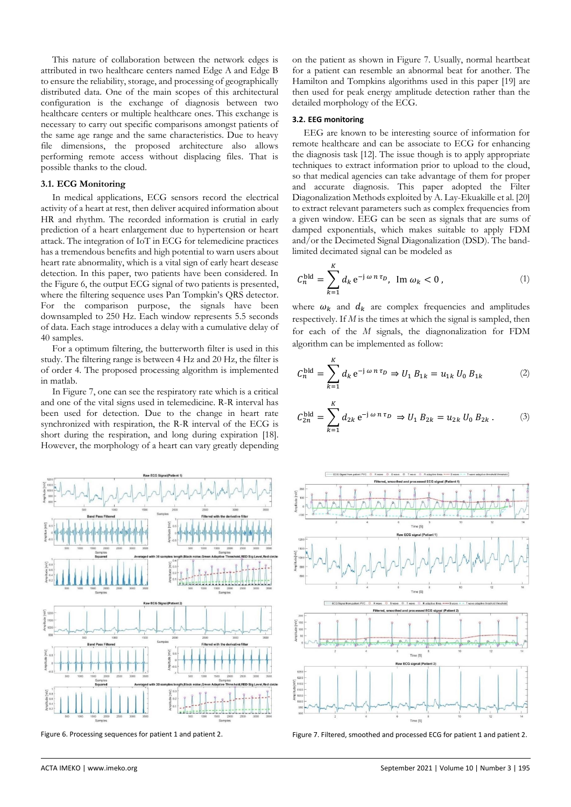This nature of collaboration between the network edges is attributed in two healthcare centers named Edge A and Edge B to ensure the reliability, storage, and processing of geographically distributed data. One of the main scopes of this architectural configuration is the exchange of diagnosis between two healthcare centers or multiple healthcare ones. This exchange is necessary to carry out specific comparisons amongst patients of the same age range and the same characteristics. Due to heavy file dimensions, the proposed architecture also allows performing remote access without displacing files. That is possible thanks to the cloud.

### **3.1. ECG Monitoring**

In medical applications, ECG sensors record the electrical activity of a heart at rest, then deliver acquired information about HR and rhythm. The recorded information is crutial in early prediction of a heart enlargement due to hypertension or heart attack. The integration of IoT in ECG for telemedicine practices has a tremendous benefits and high potential to warn users about heart rate abnormality, which is a vital sign of early heart desease detection. In this paper, two patients have been considered. In the [Figure 6,](#page-3-0) the output ECG signal of two patients is presented, where the filtering sequence uses Pan Tompkin's QRS detector. For the comparison purpose, the signals have been downsampled to 250 Hz. Each window represents 5.5 seconds of data. Each stage introduces a delay with a cumulative delay of 40 samples.

For a optimum filtering, the butterworth filter is used in this study. The filtering range is between 4 Hz and 20 Hz, the filter is of order 4. The proposed processing algorithm is implemented in matlab.

I[n Figure 7,](#page-3-1) one can see the respiratory rate which is a critical and one of the vital signs used in telemedicine. R-R interval has been used for detection. Due to the change in heart rate synchronized with respiration, the R-R interval of the ECG is short during the respiration, and long during expiration [\[18\].](#page-5-15)  However, the morphology of a heart can vary greatly depending



<span id="page-3-1"></span><span id="page-3-0"></span>

on the patient as shown in [Figure 7.](#page-3-1) Usually, normal heartbeat for a patient can resemble an abnormal beat for another. The Hamilton and Tompkins algorithms used in this paper [\[19\]](#page-5-16) are then used for peak energy amplitude detection rather than the detailed morphology of the ECG.

# **3.2. EEG monitoring**

EEG are known to be interesting source of information for remote healthcare and can be associate to ECG for enhancing the diagnosis task [\[12\].](#page-5-10) The issue though is to apply appropriate techniques to extract information prior to upload to the cloud, so that medical agencies can take advantage of them for proper and accurate diagnosis. This paper adopted the Filter Diagonalization Methods exploited by A. Lay-Ekuakille et al[. \[20\]](#page-5-17) to extract relevant parameters such as complex frequencies from a given window. EEG can be seen as signals that are sums of damped exponentials, which makes suitable to apply FDM and/or the Decimeted Signal Diagonalization (DSD). The bandlimited decimated signal can be modeled as

$$
C_n^{\text{bld}} = \sum_{k=1}^K d_k e^{-j \omega n \tau_D}, \ \text{Im } \omega_k < 0 \,, \tag{1}
$$

where  $\omega_k$  and  $d_k$  are complex frequencies and amplitudes respectively. If *M* is the times at which the signal is sampled, then for each of the *M* signals, the diagnonalization for FDM algorithm can be implemented as follow:

<span id="page-3-2"></span>
$$
C_n^{\text{bld}} = \sum_{k=1}^K d_k e^{-j \omega n \tau_D} \Rightarrow U_1 B_{1k} = u_{1k} U_0 B_{1k}
$$
 (2)

<span id="page-3-3"></span>
$$
C_{2n}^{\text{bld}} = \sum_{k=1}^{K} d_{2k} e^{-j \omega n \tau_D} \Rightarrow U_1 B_{2k} = u_{2k} U_0 B_{2k} . \tag{3}
$$



Figure 6. Processing sequences for patient 1 and patient 2. Figure 7. Filtered, smoothed and processed ECG for patient 1 and patient 2.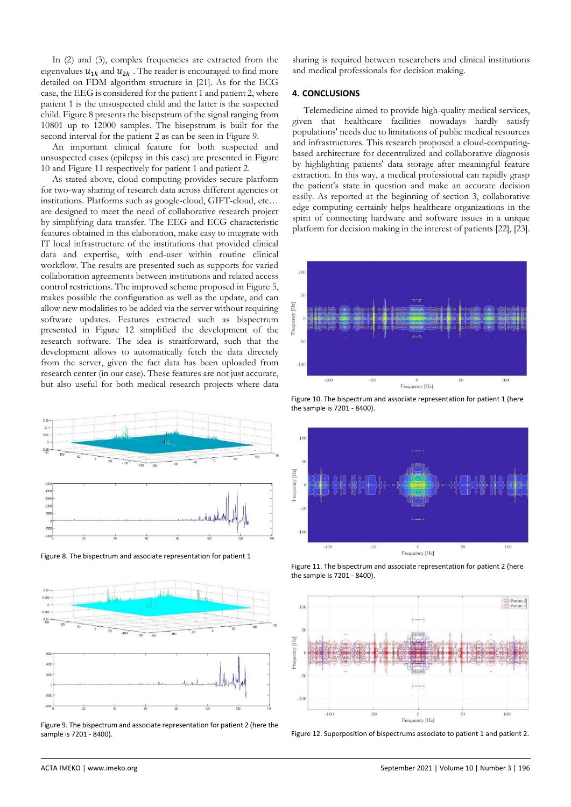In [\(2\)](#page-3-2) and [\(3\),](#page-3-3) complex frequencies are extracted from the eigenvalues  $u_{1k}$  and  $u_{2k}$ . The reader is encouraged to find more detailed on FDM algorithm structure in [\[21\].](#page-5-18) As for the ECG case, the EEG is considered for the patient 1 and patient 2, where patient 1 is the unsuspected child and the latter is the suspected child[. Figure 8](#page-4-0) presents the bisepstrum of the signal ranging from 10801 up to 12000 samples. The bisepstrum is built for the second interval for the patient 2 as can be seen in [Figure 9.](#page-4-1)

An important clinical feature for both suspected and unsuspected cases (epilepsy in this case) are presented in [Figure](#page-4-2)  [10](#page-4-2) and [Figure 11](#page-4-3) respectively for patient 1 and patient 2.

As stated above, cloud computing provides secure platform for two-way sharing of research data across different agencies or institutions. Platforms such as google-cloud, GIFT-cloud, etc… are designed to meet the need of collaborative research project by simplifying data transfer. The EEG and ECG characteristic features obtained in this elaboration, make easy to integrate with IT local infrastructure of the institutions that provided clinical data and expertise, with end-user within routine clinical workflow. The results are presented such as supports for varied collaboration agreements between institutions and related access control restrictions. The improved scheme proposed i[n Figure 5,](#page-2-1)  makes possible the configuration as well as the update, and can allow new modalities to be added via the server without requiring software updates. Features extracted such as bispectrum presented in [Figure 12](#page-4-4) simplified the development of the research software. The idea is straitforward, such that the development allows to automatically fetch the data directely from the server, given the fact data has been uploaded from research center (in our case). These features are not just accurate, but also useful for both medical research projects where data



<span id="page-4-0"></span>Figure 8. The bispectrum and associate representation for patient 1



<span id="page-4-1"></span>Figure 9. The bispectrum and associate representation for patient 2 (here the sample is 7201 - 8400).

sharing is required between researchers and clinical institutions and medical professionals for decision making.

#### **4. CONCLUSIONS**

Telemedicine aimed to provide high-quality medical services, given that healthcare facilities nowadays hardly satisfy populations' needs due to limitations of public medical resources and infrastructures. This research proposed a cloud-computingbased architecture for decentralized and collaborative diagnosis by highlighting patients' data storage after meaningful feature extraction. In this way, a medical professional can rapidly grasp the patient's state in question and make an accurate decision easily. As reported at the beginning of section 3, collaborative edge computing certainly helps healthcare organizations in the spirit of connecting hardware and software issues in a unique platform for decision making in the interest of patient[s \[22\],](#page-5-19) [\[23\].](#page-5-20) 



<span id="page-4-2"></span>Figure 10. The bispectrum and associate representation for patient 1 (here the sample is 7201 - 8400).



<span id="page-4-3"></span>Figure 11. The bispectrum and associate representation for patient 2 (here the sample is 7201 - 8400).



<span id="page-4-4"></span>Figure 12. Superposition of bispectrums associate to patient 1 and patient 2.